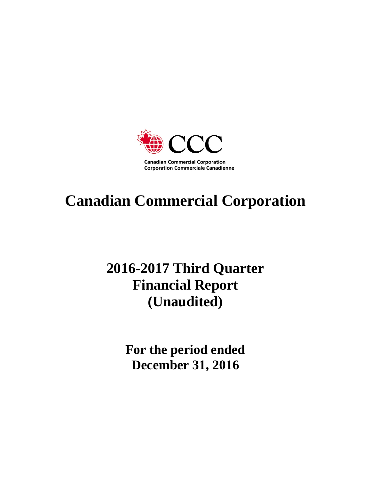

# **Canadian Commercial Corporation**

# **2016-2017 Third Quarter Financial Report (Unaudited)**

**For the period ended December 31, 2016**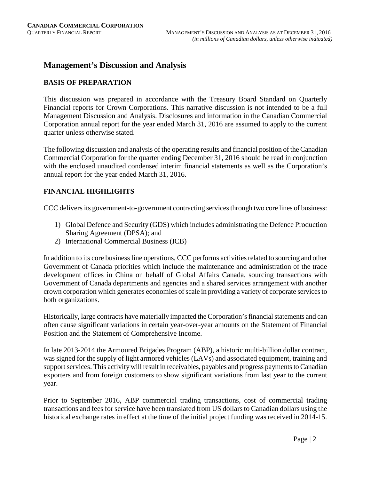# **Management's Discussion and Analysis**

# **BASIS OF PREPARATION**

This discussion was prepared in accordance with the Treasury Board Standard on Quarterly Financial reports for Crown Corporations. This narrative discussion is not intended to be a full Management Discussion and Analysis. Disclosures and information in the Canadian Commercial Corporation annual report for the year ended March 31, 2016 are assumed to apply to the current quarter unless otherwise stated.

The following discussion and analysis of the operating results and financial position of the Canadian Commercial Corporation for the quarter ending December 31, 2016 should be read in conjunction with the enclosed unaudited condensed interim financial statements as well as the Corporation's annual report for the year ended March 31, 2016.

# **FINANCIAL HIGHLIGHTS**

CCC delivers its government-to-government contracting services through two core lines of business:

- 1) Global Defence and Security (GDS) which includes administrating the Defence Production Sharing Agreement (DPSA); and
- 2) International Commercial Business (ICB)

In addition to its core business line operations, CCC performs activities related to sourcing and other Government of Canada priorities which include the maintenance and administration of the trade development offices in China on behalf of Global Affairs Canada, sourcing transactions with Government of Canada departments and agencies and a shared services arrangement with another crown corporation which generates economies of scale in providing a variety of corporate services to both organizations.

Historically, large contracts have materially impacted the Corporation's financial statements and can often cause significant variations in certain year-over-year amounts on the Statement of Financial Position and the Statement of Comprehensive Income.

In late 2013-2014 the Armoured Brigades Program (ABP), a historic multi-billion dollar contract, was signed for the supply of light armored vehicles (LAVs) and associated equipment, training and support services. This activity will result in receivables, payables and progress payments to Canadian exporters and from foreign customers to show significant variations from last year to the current year.

Prior to September 2016, ABP commercial trading transactions, cost of commercial trading transactions and fees for service have been translated from US dollars to Canadian dollars using the historical exchange rates in effect at the time of the initial project funding was received in 2014-15.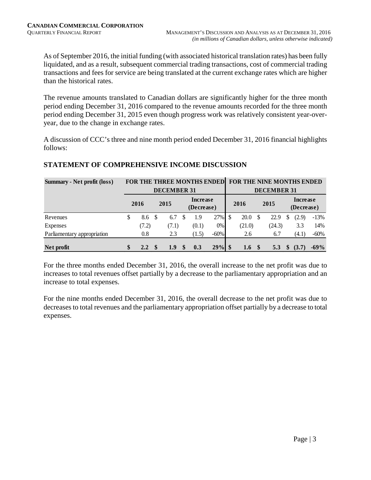As of September 2016, the initial funding (with associated historical translation rates) has been fully liquidated, and as a result, subsequent commercial trading transactions, cost of commercial trading transactions and fees for service are being translated at the current exchange rates which are higher than the historical rates.

The revenue amounts translated to Canadian dollars are significantly higher for the three month period ending December 31, 2016 compared to the revenue amounts recorded for the three month period ending December 31, 2015 even though progress work was relatively consistent year-overyear, due to the change in exchange rates.

A discussion of CCC's three and nine month period ended December 31, 2016 financial highlights follows:

| <b>Summary - Net profit (loss)</b> |                     |                 |                    |                        | <b>FOR THE THREE MONTHS ENDED</b> |         |      |        | FOR THE NINE MONTHS ENDED |                    |                        |       |         |
|------------------------------------|---------------------|-----------------|--------------------|------------------------|-----------------------------------|---------|------|--------|---------------------------|--------------------|------------------------|-------|---------|
|                                    |                     |                 | <b>DECEMBER 31</b> |                        |                                   |         |      |        |                           | <b>DECEMBER 31</b> |                        |       |         |
|                                    | 2016                | 2015            |                    | Increase<br>(Decrease) |                                   |         | 2016 |        | 2015                      |                    | Increase<br>(Decrease) |       |         |
| Revenues                           | \$<br>8.6           | <b>S</b><br>6.7 |                    | S                      | 1.9                               | 27%     | \$   | 20.0   |                           | 22.9               | S                      | (2.9) | $-13\%$ |
| Expenses                           | (7.2)               |                 | (7.1)              |                        | (0.1)                             | $0\%$   |      | (21.0) |                           | (24.3)             |                        | 3.3   | 14%     |
| Parliamentary appropriation        | 0.8                 |                 | 2.3                |                        | (1.5)                             | $-60\%$ |      | 2.6    |                           | 6.7                |                        | (4.1) | $-60\%$ |
| Net profit                         | \$<br>$2.2^{\circ}$ |                 | 1.9                | $\mathbf{s}$           | 0.3                               | 29%     | -S   | 1.6    | $\mathbf{\$}$             | 5.3                | \$                     | (3.7) | $-69%$  |

# **STATEMENT OF COMPREHENSIVE INCOME DISCUSSION**

For the three months ended December 31, 2016, the overall increase to the net profit was due to increases to total revenues offset partially by a decrease to the parliamentary appropriation and an increase to total expenses.

For the nine months ended December 31, 2016, the overall decrease to the net profit was due to decreases to total revenues and the parliamentary appropriation offset partially by a decrease to total expenses.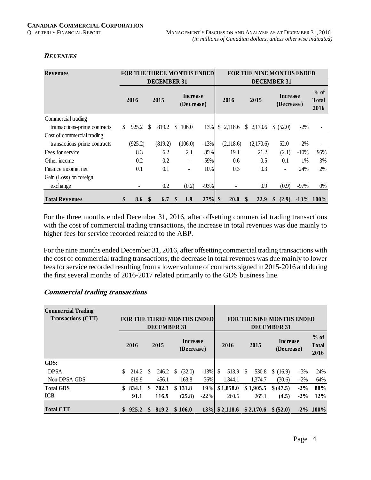# **REVENUES**

| <b>Revenues</b>              |    |         |               | <b>FOR THE THREE MONTHS ENDED</b> |               |                          |        |             |             |   | <b>FOR THE NINE MONTHS ENDED</b> |                               |         |                                |
|------------------------------|----|---------|---------------|-----------------------------------|---------------|--------------------------|--------|-------------|-------------|---|----------------------------------|-------------------------------|---------|--------------------------------|
|                              |    |         |               | <b>DECEMBER 31</b>                |               |                          |        |             |             |   | <b>DECEMBER 31</b>               |                               |         |                                |
|                              |    | 2016    |               | 2015                              |               | Increase<br>(Decrease)   |        |             | 2016        |   | 2015                             | <b>Increase</b><br>(Decrease) |         | $%$ of<br><b>Total</b><br>2016 |
| Commercial trading           |    |         |               |                                   |               |                          |        |             |             |   |                                  |                               |         |                                |
| transactions-prime contracts | S. | 925.2   | <sup>\$</sup> | 819.2                             | <sup>\$</sup> | 106.0                    | 13%    |             | \$2,118.6   |   | \$2,170.6                        | \$ (52.0)                     | $-2\%$  |                                |
| Cost of commercial trading   |    |         |               |                                   |               |                          |        |             |             |   |                                  |                               |         |                                |
| transactions-prime contracts |    | (925.2) |               | (819.2)                           |               | (106.0)                  | $-13%$ |             | (2,118.6)   |   | (2,170.6)                        | 52.0                          | 2%      |                                |
| Fees for service             |    | 8.3     |               | 6.2                               |               | 2.1                      | 35%    |             | 19.1        |   | 21.2                             | (2.1)                         | $-10\%$ | 95%                            |
| Other income                 |    | 0.2     |               | 0.2                               |               |                          | $-59%$ |             | 0.6         |   | $0.5^{\circ}$                    | 0.1                           | 1%      | 3%                             |
| Finance income, net          |    | 0.1     |               | 0.1                               |               | $\overline{\phantom{a}}$ | 10%    |             | 0.3         |   | 0.3                              | $\overline{\phantom{0}}$      | 24%     | 2%                             |
| Gain (Loss) on foreign       |    |         |               |                                   |               |                          |        |             |             |   |                                  |                               |         |                                |
| exchange                     |    |         |               | 0.2                               |               | (0.2)                    | $-93%$ |             |             |   | 0.9                              | (0.9)                         | $-97%$  | $0\%$                          |
| <b>Total Revenues</b>        | \$ | 8.6     | $\mathbf{\$}$ | 6.7                               | S             | 1.9                      | 27%    | $\mathbf s$ | <b>20.0</b> | S | 22.9                             | \$<br>(2.9)                   |         | $-13\%$ 100%                   |

For the three months ended December 31, 2016, after offsetting commercial trading transactions with the cost of commercial trading transactions, the increase in total revenues was due mainly to higher fees for service recorded related to the ABP.

For the nine months ended December 31, 2016, after offsetting commercial trading transactions with the cost of commercial trading transactions, the decrease in total revenues was due mainly to lower fees for service recorded resulting from a lower volume of contracts signed in 2015-2016 and during the first several months of 2016-2017 related primarily to the GDS business line.

| <b>Commercial Trading</b><br>Transactions (CTT) |     |                 |               | <b>FOR THE THREE MONTHS ENDED</b><br><b>DECEMBER 31</b> |              |                               |        |   |                            | <b>FOR THE NINE MONTHS ENDED</b><br><b>DECEMBER 31</b> |                               |        |                                |
|-------------------------------------------------|-----|-----------------|---------------|---------------------------------------------------------|--------------|-------------------------------|--------|---|----------------------------|--------------------------------------------------------|-------------------------------|--------|--------------------------------|
|                                                 |     | 2016<br>2015    |               |                                                         |              | <b>Increase</b><br>(Decrease) |        |   | 2016                       | 2015                                                   | <b>Increase</b><br>(Decrease) |        | $%$ of<br><b>Total</b><br>2016 |
| GDS:                                            |     |                 |               |                                                         |              |                               |        |   |                            |                                                        |                               |        |                                |
| <b>DPSA</b>                                     |     | $214.2 \quad $$ |               | 246.2                                                   | <sup>S</sup> | (32.0)                        | $-13%$ | S | 513.9 \$                   | 530.8                                                  | \$(16.9)                      | $-3\%$ | 24%                            |
| Non-DPSA GDS                                    |     | 619.9           |               | 456.1                                                   |              | 163.8                         | 36%    |   | 1.344.1                    | 1.374.7                                                | (30.6)                        | $-2\%$ | 64%                            |
| <b>Total GDS</b>                                | \$. | 834.1           | \$            | 702.3                                                   |              | \$131.8                       | 19%    |   | \$1,858.0                  | \$1,905.5                                              | \$ (47.5)                     | $-2\%$ | 88%                            |
| <b>ICB</b>                                      |     | 91.1            |               | 116.9                                                   |              | (25.8)                        | $-22%$ |   | 260.6                      | 265.1                                                  | (4.5)                         | $-2\%$ | 12%                            |
| <b>Total CTT</b>                                |     | 925.2           | <sup>\$</sup> | 819.2                                                   |              | \$106.0                       |        |   | $13\%$ \$2,118.6 \$2,170.6 |                                                        | \$ (52.0)                     |        | $-2\%$ 100%                    |

# **Commercial trading transactions**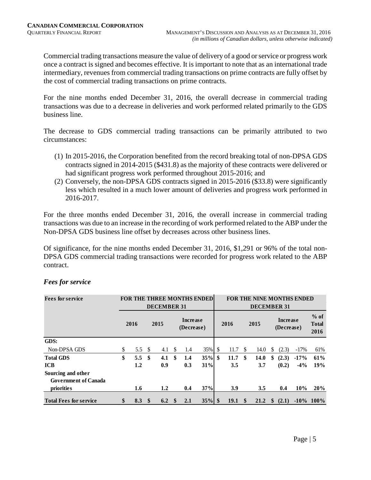Commercial trading transactions measure the value of delivery of a good or service or progress work once a contract is signed and becomes effective. It is important to note that as an international trade intermediary, revenues from commercial trading transactions on prime contracts are fully offset by the cost of commercial trading transactions on prime contracts.

For the nine months ended December 31, 2016, the overall decrease in commercial trading transactions was due to a decrease in deliveries and work performed related primarily to the GDS business line.

The decrease to GDS commercial trading transactions can be primarily attributed to two circumstances:

- (1) In 2015-2016, the Corporation benefited from the record breaking total of non-DPSA GDS contracts signed in 2014-2015 (\$431.8) as the majority of these contracts were delivered or had significant progress work performed throughout 2015-2016; and
- (2) Conversely, the non-DPSA GDS contracts signed in 2015-2016 (\$33.8) were significantly less which resulted in a much lower amount of deliveries and progress work performed in 2016-2017.

For the three months ended December 31, 2016, the overall increase in commercial trading transactions was due to an increase in the recording of work performed related to the ABP under the Non-DPSA GDS business line offset by decreases across other business lines.

Of significance, for the nine months ended December 31, 2016, \$1,291 or 96% of the total non-DPSA GDS commercial trading transactions were recorded for progress work related to the ABP contract.

| <b>Fees for service</b>                           |                      |      | <b>DECEMBER 31</b> |              |                               | <b>FOR THE THREE MONTHS ENDED</b> |              |      |     | <b>FOR THE NINE MONTHS ENDED</b><br><b>DECEMBER 31</b> |              |                               |         |                                |
|---------------------------------------------------|----------------------|------|--------------------|--------------|-------------------------------|-----------------------------------|--------------|------|-----|--------------------------------------------------------|--------------|-------------------------------|---------|--------------------------------|
|                                                   | 2016<br>2015         |      |                    |              | <b>Increase</b><br>(Decrease) |                                   |              | 2016 |     | 2015                                                   |              | <b>Increase</b><br>(Decrease) |         | $%$ of<br><b>Total</b><br>2016 |
| GDS:                                              |                      |      |                    |              |                               |                                   |              |      |     |                                                        |              |                               |         |                                |
| Non-DPSA GDS                                      | \$<br>5.5 $\sqrt{3}$ |      | 4.1                | \$           | 1.4                           | $35\%$                            | $\mathbb{S}$ | 11.7 | \$. | 14.0                                                   | \$           | (2.3)                         | $-17\%$ | 61%                            |
| <b>Total GDS</b>                                  | \$<br>5.5            | - \$ | 4.1                | -\$          | 1.4                           | 35%                               | \$           | 11.7 | \$  | 14.0                                                   | \$           | (2.3)                         | $-17%$  | 61%                            |
| <b>ICB</b>                                        | 1.2                  |      | 0.9                |              | 0.3                           | 31%                               |              | 3.5  |     | 3.7                                                    |              | (0.2)                         | $-4\%$  | 19%                            |
| Sourcing and other<br><b>Government of Canada</b> |                      |      |                    |              |                               |                                   |              |      |     |                                                        |              |                               |         |                                |
| priorities                                        | 1.6                  |      | 1.2                |              | 0.4                           | 37%                               |              | 3.9  |     | 3.5                                                    |              | 0.4                           | $10\%$  | 20%                            |
| <b>Total Fees for service</b>                     | \$<br>8.3            | - \$ | 6.2                | $\mathbf{s}$ | 2.1                           | $35\%$ \$                         |              | 19.1 | \$  | 21.2                                                   | $\mathbf{s}$ | (2.1)                         |         | $-10\%$ 100%                   |

# *Fees for service*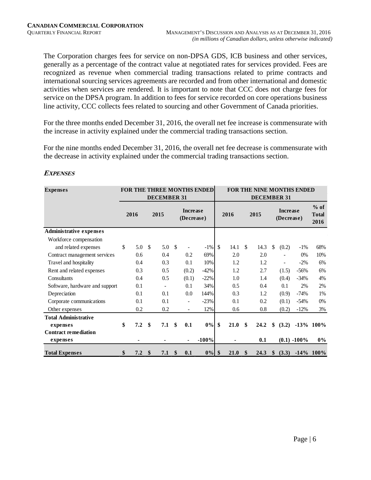The Corporation charges fees for service on non-DPSA GDS, ICB business and other services, generally as a percentage of the contract value at negotiated rates for services provided. Fees are recognized as revenue when commercial trading transactions related to prime contracts and international sourcing services agreements are recorded and from other international and domestic activities when services are rendered. It is important to note that CCC does not charge fees for service on the DPSA program. In addition to fees for service recorded on core operations business line activity, CCC collects fees related to sourcing and other Government of Canada priorities.

For the three months ended December 31, 2016, the overall net fee increase is commensurate with the increase in activity explained under the commercial trading transactions section.

For the nine months ended December 31, 2016, the overall net fee decrease is commensurate with the decrease in activity explained under the commercial trading transactions section.

| <b>Expenses</b>                |    |      |     | <b>DECEMBER 31</b> |      |                               | FOR THE THREE MONTHS ENDED |               |      |               | <b>DECEMBER 31</b> |               |                               | FOR THE NINE MONTHS ENDED |                                |
|--------------------------------|----|------|-----|--------------------|------|-------------------------------|----------------------------|---------------|------|---------------|--------------------|---------------|-------------------------------|---------------------------|--------------------------------|
|                                |    | 2016 |     | 2015               |      | <b>Increase</b><br>(Decrease) |                            |               | 2016 |               | 2015               |               | <b>Increase</b><br>(Decrease) |                           | $%$ of<br><b>Total</b><br>2016 |
| <b>Administrative expenses</b> |    |      |     |                    |      |                               |                            |               |      |               |                    |               |                               |                           |                                |
| Workforce compensation         |    |      |     |                    |      |                               |                            |               |      |               |                    |               |                               |                           |                                |
| and related expenses           | \$ | 5.0  | -\$ | 5.0                | - \$ |                               | $-1\%$                     | $\mathcal{S}$ | 14.1 | <sup>\$</sup> | 14.3               | \$            | (0.2)                         | $-1\%$                    | 68%                            |
| Contract management services   |    | 0.6  |     | 0.4                |      | 0.2                           | 69%                        |               | 2.0  |               | 2.0                |               |                               | 0%                        | 10%                            |
| Travel and hospitality         |    | 0.4  |     | 0.3                |      | 0.1                           | 10%                        |               | 1.2  |               | 1.2                |               | $\overline{\phantom{a}}$      | $-2\%$                    | 6%                             |
| Rent and related expenses      |    | 0.3  |     | 0.5                |      | (0.2)                         | $-42%$                     |               | 1.2  |               | 2.7                |               | (1.5)                         | $-56%$                    | 6%                             |
| Consultants                    |    | 0.4  |     | 0.5                |      | (0.1)                         | $-22%$                     |               | 1.0  |               | 1.4                |               | (0.4)                         | $-34%$                    | 4%                             |
| Software, hardware and support |    | 0.1  |     | -                  |      | 0.1                           | 34%                        |               | 0.5  |               | 0.4                |               | 0.1                           | 2%                        | 2%                             |
| Depreciation                   |    | 0.1  |     | 0.1                |      | $0.0\,$                       | 144%                       |               | 0.3  |               | 1.2                |               | (0.9)                         | $-74%$                    | 1%                             |
| Corporate communications       |    | 0.1  |     | 0.1                |      | $\overline{\phantom{a}}$      | $-23%$                     |               | 0.1  |               | 0.2                |               | (0.1)                         | $-54%$                    | 0%                             |
| Other expenses                 |    | 0.2  |     | 0.2                |      | $\blacksquare$                | 12%                        |               | 0.6  |               | 0.8                |               | (0.2)                         | $-12%$                    | 3%                             |
| <b>Total Administrative</b>    |    |      |     |                    |      |                               |                            |               |      |               |                    |               |                               |                           |                                |
| expenses                       | \$ | 7.2  | \$  | 7.1                | \$   | 0.1                           | 0%                         | \$            | 21.0 | \$            | 24.2               | \$            | (3.2)                         |                           | $-13\%$ 100%                   |
| <b>Contract remediation</b>    |    |      |     |                    |      |                               |                            |               |      |               |                    |               |                               |                           |                                |
| expenses                       |    |      |     |                    |      | ٠                             | $-100%$                    |               |      |               | 0.1                |               |                               | $(0.1) -100\%$            | $0\%$                          |
| <b>Total Expenses</b>          | \$ | 7.2  | \$  | 7.1                | \$   | 0.1                           | $0\%$ \$                   |               | 21.0 | \$            | 24.3               | <sup>\$</sup> | (3.3)                         |                           | $-14\%$ 100%                   |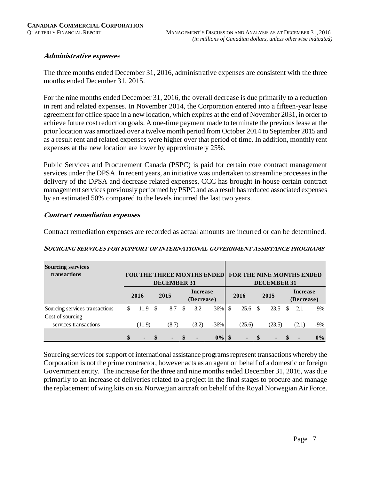# **Administrative expenses**

The three months ended December 31, 2016, administrative expenses are consistent with the three months ended December 31, 2015.

For the nine months ended December 31, 2016, the overall decrease is due primarily to a reduction in rent and related expenses. In November 2014, the Corporation entered into a fifteen-year lease agreement for office space in a new location, which expires at the end of November 2031, in order to achieve future cost reduction goals. A one-time payment made to terminate the previous lease at the prior location was amortized over a twelve month period from October 2014 to September 2015 and as a result rent and related expenses were higher over that period of time. In addition, monthly rent expenses at the new location are lower by approximately 25%.

Public Services and Procurement Canada (PSPC) is paid for certain core contract management services under the DPSA. In recent years, an initiative was undertaken to streamline processes in the delivery of the DPSA and decrease related expenses, CCC has brought in-house certain contract management services previously performed by PSPC and as a result has reduced associated expenses by an estimated 50% compared to the levels incurred the last two years.

#### **Contract remediation expenses**

Contract remediation expenses are recorded as actual amounts are incurred or can be determined.

| <b>Sourcing services</b><br>transactions |                      |               | <b>DECEMBER 31</b> | <b>FOR THE THREE MONTHS ENDEDI</b> |        |            | <b>FOR THE NINE MONTHS ENDED</b><br><b>DECEMBER 31</b> |        |                               |        |
|------------------------------------------|----------------------|---------------|--------------------|------------------------------------|--------|------------|--------------------------------------------------------|--------|-------------------------------|--------|
|                                          | 2015<br>2016         |               |                    | <b>Increase</b><br>(Decrease)      |        | 2016       |                                                        | 2015   | <b>Increase</b><br>(Decrease) |        |
| Sourcing services transactions           | \$<br>11.9           | <sup>\$</sup> | 8.7                | \$<br>3.2                          | 36%    | \$<br>25.6 | - \$                                                   | 23.5   | \$<br>2.1                     | 9%     |
| Cost of sourcing                         |                      |               |                    |                                    |        |            |                                                        |        |                               |        |
| services transactions                    | (11.9)               |               | (8.7)              | (3.2)                              | $-36%$ | (25.6)     |                                                        | (23.5) | (2.1)                         | $-9\%$ |
|                                          | \$<br>$\blacksquare$ |               |                    |                                    | 0%     |            |                                                        |        | -                             | $0\%$  |

#### **SOURCING SERVICES FOR SUPPORT OF INTERNATIONAL GOVERNMENT ASSISTANCE PROGRAMS**

Sourcing services for support of international assistance programs represent transactions whereby the Corporation is not the prime contractor, however acts as an agent on behalf of a domestic or foreign Government entity. The increase for the three and nine months ended December 31, 2016, was due primarily to an increase of deliveries related to a project in the final stages to procure and manage the replacement of wing kits on six Norwegian aircraft on behalf of the Royal Norwegian Air Force.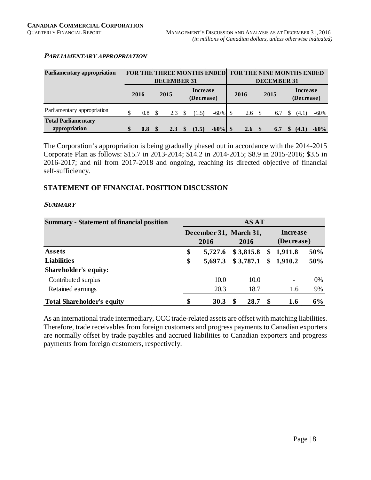# **PARLIAMENTARY APPROPRIATION**

| Parliamentary appropriation |           |      |                    |               | <b>FOR THE THREE MONTHS ENDED</b> |            |      | FOR THE NINE MONTHS ENDED |          |                               |        |
|-----------------------------|-----------|------|--------------------|---------------|-----------------------------------|------------|------|---------------------------|----------|-------------------------------|--------|
|                             |           |      | <b>DECEMBER 31</b> |               |                                   |            |      | <b>DECEMBER 31</b>        |          |                               |        |
|                             | 2016      | 2015 |                    |               | <b>Increase</b><br>(Decrease)     |            | 2016 | 2015                      |          | <b>Increase</b><br>(Decrease) |        |
| Parliamentary appropriation | 0.8       |      | 2.3                |               | (1.5)                             | $-60\%$    | 2.6  | 6.7                       |          | (4.1)                         | -60%   |
| <b>Total Parliamentary</b>  |           |      |                    |               |                                   |            |      |                           |          |                               |        |
| appropriation               | \$<br>0.8 |      | 2.3                | <sup>\$</sup> | (1.5)                             | $-60\%$ \$ | 2.6  | 6.7                       | <b>S</b> | (4.1)                         | $-60%$ |

The Corporation's appropriation is being gradually phased out in accordance with the 2014-2015 Corporate Plan as follows: \$15.7 in 2013-2014; \$14.2 in 2014-2015; \$8.9 in 2015-2016; \$3.5 in 2016-2017; and nil from 2017-2018 and ongoing, reaching its directed objective of financial self-sufficiency.

# **STATEMENT OF FINANCIAL POSITION DISCUSSION**

#### **SUMMARY**

| <b>Summary - Statement of financial position</b> |                                | <b>AS AT</b> |                          |     |
|--------------------------------------------------|--------------------------------|--------------|--------------------------|-----|
|                                                  | December 31, March 31,<br>2016 | 2016         | Increase<br>(Decrease)   |     |
| Assets                                           | \$<br>5,727.6                  | \$3,815.8    | \$1,911.8                | 50% |
| <b>Liabilities</b>                               | \$<br>5,697.3                  | \$3,787.1    | \$1,910.2                | 50% |
| Shareholder's equity:                            |                                |              |                          |     |
| Contributed surplus                              | 10.0                           | 10.0         | $\overline{\phantom{a}}$ | 0%  |
| Retained earnings                                | 20.3                           | 18.7         | 1.6                      | 9%  |
| <b>Total Shareholder's equity</b>                | \$<br>30.3                     | 28.7         | \$<br>1.6                | 6%  |

As an international trade intermediary, CCC trade-related assets are offset with matching liabilities. Therefore, trade receivables from foreign customers and progress payments to Canadian exporters are normally offset by trade payables and accrued liabilities to Canadian exporters and progress payments from foreign customers, respectively.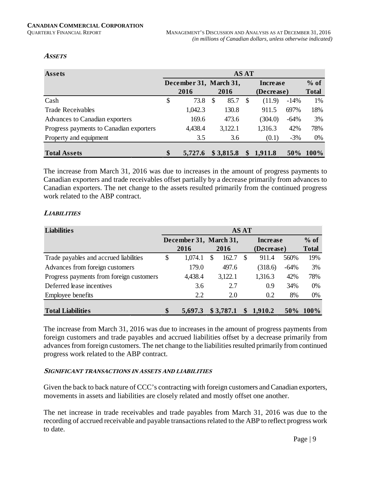#### **ASSETS**

| Assets                                  | AS AT |                        |    |           |    |            |        |              |  |  |  |  |
|-----------------------------------------|-------|------------------------|----|-----------|----|------------|--------|--------------|--|--|--|--|
|                                         |       | December 31, March 31, |    |           |    | Increase   |        | $%$ of       |  |  |  |  |
|                                         |       | 2016                   |    | 2016      |    | (Decrease) |        | <b>Total</b> |  |  |  |  |
| Cash                                    | \$    | 73.8                   | -S | 85.7      | -S | (11.9)     | $-14%$ | 1%           |  |  |  |  |
| <b>Trade Receivables</b>                |       | 1,042.3                |    | 130.8     |    | 911.5      | 697%   | 18%          |  |  |  |  |
| Advances to Canadian exporters          |       | 169.6                  |    | 473.6     |    | (304.0)    | $-64%$ | 3%           |  |  |  |  |
| Progress payments to Canadian exporters |       | 4,438.4                |    | 3,122.1   |    | 1,316.3    | 42%    | 78%          |  |  |  |  |
| Property and equipment                  |       | 3.5                    |    | 3.6       |    | (0.1)      | $-3%$  | 0%           |  |  |  |  |
| <b>Total Assets</b>                     | \$    | 5,727.6                |    | \$3,815.8 | \$ | 1,911.8    | $50\%$ | $100\%$      |  |  |  |  |

The increase from March 31, 2016 was due to increases in the amount of progress payments to Canadian exporters and trade receivables offset partially by a decrease primarily from advances to Canadian exporters. The net change to the assets resulted primarily from the continued progress work related to the ABP contract.

#### **LIABILITIES**

| <b>Liabilities</b>                       |                        |   |           | AS AT |            |        |              |
|------------------------------------------|------------------------|---|-----------|-------|------------|--------|--------------|
|                                          | December 31, March 31, |   |           |       | Increase   |        | $%$ of       |
|                                          | 2016                   |   | 2016      |       | (Decrease) |        | <b>Total</b> |
| Trade payables and accrued liabilities   | \$<br>1,074.1          | S | 162.7     |       | 911.4      | 560%   | 19%          |
| Advances from foreign customers          | 179.0                  |   | 497.6     |       | (318.6)    | $-64%$ | 3%           |
| Progress payments from foreign customers | 4,438.4                |   | 3,122.1   |       | 1,316.3    | 42%    | 78%          |
| Deferred lease incentives                | 3.6                    |   | 2.7       |       | 0.9        | 34%    | $0\%$        |
| Employee benefits                        | 2.2                    |   | 2.0       |       | 0.2        | 8%     | 0%           |
| <b>Total Liabilities</b>                 | \$<br>5,697.3          |   | \$3,787.1 | \$    | 1,910.2    | 50%    | $100\%$      |

The increase from March 31, 2016 was due to increases in the amount of progress payments from foreign customers and trade payables and accrued liabilities offset by a decrease primarily from advances from foreign customers. The net change to the liabilities resulted primarily from continued progress work related to the ABP contract.

#### **SIGNIFICANT TRANSACTIONS IN ASSETS AND LIABILITIES**

Given the back to back nature of CCC's contracting with foreign customers and Canadian exporters, movements in assets and liabilities are closely related and mostly offset one another.

The net increase in trade receivables and trade payables from March 31, 2016 was due to the recording of accrued receivable and payable transactions related to the ABP to reflect progress work to date.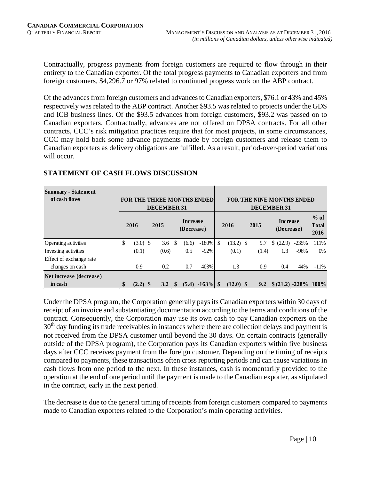Contractually, progress payments from foreign customers are required to flow through in their entirety to the Canadian exporter. Of the total progress payments to Canadian exporters and from foreign customers, \$4,296.7 or 97% related to continued progress work on the ABP contract.

Of the advances from foreign customers and advances to Canadian exporters, \$76.1 or 43% and 45% respectively was related to the ABP contract. Another \$93.5 was related to projects under the GDS and ICB business lines. Of the \$93.5 advances from foreign customers, \$93.2 was passed on to Canadian exporters. Contractually, advances are not offered on DPSA contracts. For all other contracts, CCC's risk mitigation practices require that for most projects, in some circumstances, CCC may hold back some advance payments made by foreign customers and release them to Canadian exporters as delivery obligations are fulfilled. As a result, period-over-period variations will occur.

| <b>Summary - Statement</b><br>of cash flows |                  | <b>DECEMBER 31</b> |              |                               | FOR THE THREE MONTHS ENDED |                   |       | <b>FOR THE NINE MONTHS ENDED</b><br><b>DECEMBER 31</b> |         |                                |
|---------------------------------------------|------------------|--------------------|--------------|-------------------------------|----------------------------|-------------------|-------|--------------------------------------------------------|---------|--------------------------------|
|                                             | 2016             | 2015               |              | <b>Increase</b><br>(Decrease) |                            | 2016              | 2015  | <b>Increase</b><br>(Decrease)                          |         | $%$ of<br><b>Total</b><br>2016 |
| Operating activities                        | \$<br>$(3.0)$ \$ | 3.6                | -S           | (6.6)                         | $-180%$                    | \$<br>$(13.2)$ \$ | 9.7   | (22.9)                                                 | $-235%$ | 111%                           |
| Investing activities                        | (0.1)            | (0.6)              |              | 0.5                           | $-92%$                     | (0.1)             | (1.4) | 1.3                                                    | $-96%$  | $0\%$                          |
| Effect of exchange rate                     |                  |                    |              |                               |                            |                   |       |                                                        |         |                                |
| changes on cash                             | 0.9              | 0.2                |              | 0.7                           | 403%                       | 1.3               | 0.9   | 0.4                                                    | 44%     | $-11\%$                        |
| Net increase (decrease)                     |                  |                    |              |                               |                            |                   |       |                                                        |         |                                |
| in cash                                     | $(2.2)$ \$       | 3.2                | $\mathbf{s}$ | (5.4)                         | $-163\%$ \$                | $(12.0)$ \$       | 9.2   | $$ (21.2) -228\% 100\%$                                |         |                                |

# **STATEMENT OF CASH FLOWS DISCUSSION**

Under the DPSA program, the Corporation generally pays its Canadian exporters within 30 days of receipt of an invoice and substantiating documentation according to the terms and conditions of the contract. Consequently, the Corporation may use its own cash to pay Canadian exporters on the  $30<sup>th</sup>$  day funding its trade receivables in instances where there are collection delays and payment is not received from the DPSA customer until beyond the 30 days. On certain contracts (generally outside of the DPSA program), the Corporation pays its Canadian exporters within five business days after CCC receives payment from the foreign customer. Depending on the timing of receipts compared to payments, these transactions often cross reporting periods and can cause variations in cash flows from one period to the next. In these instances, cash is momentarily provided to the operation at the end of one period until the payment is made to the Canadian exporter, as stipulated in the contract, early in the next period.

The decrease is due to the general timing of receipts from foreign customers compared to payments made to Canadian exporters related to the Corporation's main operating activities.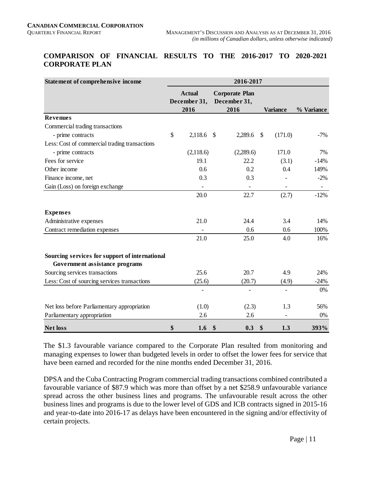# **COMPARISON OF FINANCIAL RESULTS TO THE 2016-2017 TO 2020-2021 CORPORATE PLAN**

| Statement of comprehensive income              | 2016-2017                             |                                               |                         |            |  |  |  |  |  |
|------------------------------------------------|---------------------------------------|-----------------------------------------------|-------------------------|------------|--|--|--|--|--|
|                                                | <b>Actual</b><br>December 31,<br>2016 | <b>Corporate Plan</b><br>December 31,<br>2016 | <b>Variance</b>         | % Variance |  |  |  |  |  |
| <b>Revenues</b>                                |                                       |                                               |                         |            |  |  |  |  |  |
| Commercial trading transactions                |                                       |                                               |                         |            |  |  |  |  |  |
| - prime contracts                              | $\mathbb{S}$<br>2,118.6               | 2,289.6<br>-S                                 | (171.0)<br>$\mathbb{S}$ | $-7%$      |  |  |  |  |  |
| Less: Cost of commercial trading transactions  |                                       |                                               |                         |            |  |  |  |  |  |
| - prime contracts                              | (2,118.6)                             | (2,289.6)                                     | 171.0                   | 7%         |  |  |  |  |  |
| Fees for service                               | 19.1                                  | 22.2                                          | (3.1)                   | $-14%$     |  |  |  |  |  |
| Other income                                   | 0.6                                   | 0.2                                           | 0.4                     | 149%       |  |  |  |  |  |
| Finance income, net                            | 0.3                                   | 0.3                                           |                         | $-2%$      |  |  |  |  |  |
| Gain (Loss) on foreign exchange                |                                       |                                               |                         |            |  |  |  |  |  |
|                                                | 20.0                                  | 22.7                                          | (2.7)                   | $-12%$     |  |  |  |  |  |
| <b>Expenses</b>                                |                                       |                                               |                         |            |  |  |  |  |  |
| Administrative expenses                        | 21.0                                  | 24.4                                          | 3.4                     | 14%        |  |  |  |  |  |
| Contract remediation expenses                  |                                       | 0.6                                           | 0.6                     | 100%       |  |  |  |  |  |
|                                                | 21.0                                  | 25.0                                          | 4.0                     | 16%        |  |  |  |  |  |
| Sourcing services for support of international |                                       |                                               |                         |            |  |  |  |  |  |
| Government assistance programs                 |                                       |                                               |                         |            |  |  |  |  |  |
| Sourcing services transactions                 | 25.6                                  | 20.7                                          | 4.9                     | 24%        |  |  |  |  |  |
| Less: Cost of sourcing services transactions   | (25.6)                                | (20.7)                                        | (4.9)                   | $-24%$     |  |  |  |  |  |
|                                                |                                       |                                               |                         | 0%         |  |  |  |  |  |
| Net loss before Parliamentary appropriation    | (1.0)                                 | (2.3)                                         | 1.3                     | 56%        |  |  |  |  |  |
| Parliamentary appropriation                    | 2.6                                   | 2.6                                           |                         | 0%         |  |  |  |  |  |
| <b>Net loss</b>                                | \$<br>1.6                             | \$<br>0.3                                     | \$<br>1.3               | 393%       |  |  |  |  |  |

The \$1.3 favourable variance compared to the Corporate Plan resulted from monitoring and managing expenses to lower than budgeted levels in order to offset the lower fees for service that have been earned and recorded for the nine months ended December 31, 2016.

DPSA and the Cuba Contracting Program commercial trading transactions combined contributed a favourable variance of \$87.9 which was more than offset by a net \$258.9 unfavourable variance spread across the other business lines and programs. The unfavourable result across the other business lines and programs is due to the lower level of GDS and ICB contracts signed in 2015-16 and year-to-date into 2016-17 as delays have been encountered in the signing and/or effectivity of certain projects.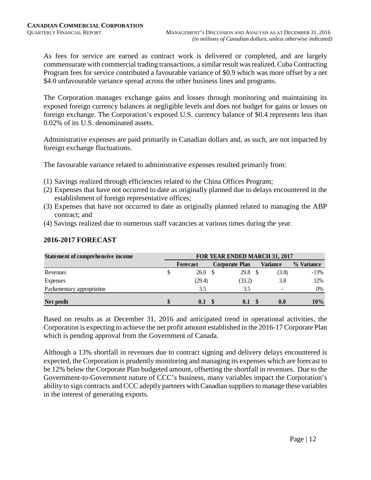As fees for service are earned as contract work is delivered or completed, and are largely commensurate with commercial trading transactions, a similar result was realized. Cuba Contracting Program fees for service contributed a favourable variance of \$0.9 which was more offset by a net \$4.0 unfavourable variance spread across the other business lines and programs.

The Corporation manages exchange gains and losses through monitoring and maintaining its exposed foreign currency balances at negligible levels and does not budget for gains or losses on foreign exchange. The Corporation's exposed U.S. currency balance of \$0.4 represents less than 0.02% of its U.S. denominated assets.

Administrative expenses are paid primarily in Canadian dollars and, as such, are not impacted by foreign exchange fluctuations.

The favourable variance related to administrative expenses resulted primarily from:

- (1) Savings realized through efficiencies related to the China Offices Program;
- (2) Expenses that have not occurred to date as originally planned due to delays encountered in the establishment of foreign representative offices;
- (3) Expenses that have not occurred to date as originally planned related to managing the ABP contract; and
- (4) Savings realized due to numerous staff vacancies at various times during the year.

| <b>Statement of comprehensive income</b> | FOR YEAR ENDED MARCH 31, 2017 |  |                       |  |                          |            |  |  |
|------------------------------------------|-------------------------------|--|-----------------------|--|--------------------------|------------|--|--|
|                                          | Forecast                      |  | <b>Corporate Plan</b> |  | Variance                 | % Variance |  |  |
| Revenues                                 | 26.0                          |  | 29.8                  |  | (3.8)                    | $-13%$     |  |  |
| Expenses                                 | (29.4)                        |  | (33.2)                |  | 3.8                      | 12%        |  |  |
| Parliamentary appropriation              | 3.5                           |  | 3.5                   |  | $\overline{\phantom{0}}$ | 0%         |  |  |
| Net profit                               | 0.1                           |  | 0.1                   |  | 0.0                      | $10\%$     |  |  |

# **2016-2017 FORECAST**

Based on results as at December 31, 2016 and anticipated trend in operational activities, the Corporation is expecting to achieve the net profit amount established in the 2016-17 Corporate Plan which is pending approval from the Government of Canada.

Although a 13% shortfall in revenues due to contract signing and delivery delays encountered is expected, the Corporation is prudently monitoring and managing its expenses which are forecast to be 12% below the Corporate Plan budgeted amount, offsetting the shortfall in revenues. Due to the Government-to-Government nature of CCC's business, many variables impact the Corporation's ability to sign contracts and CCC adeptly partners with Canadian suppliers to manage these variables in the interest of generating exports.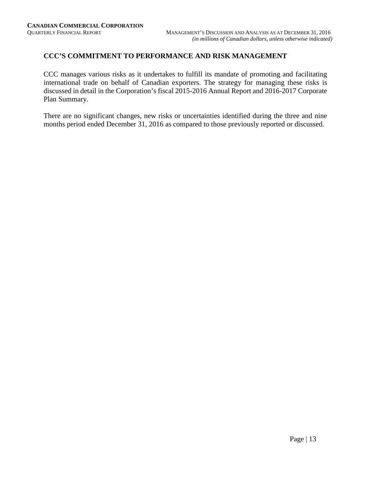# **CCC'S COMMITMENT TO PERFORMANCE AND RISK MANAGEMENT**

CCC manages various risks as it undertakes to fulfill its mandate of promoting and facilitating international trade on behalf of Canadian exporters. The strategy for managing these risks is discussed in detail in the Corporation's fiscal 2015-2016 Annual Report and 2016-2017 Corporate Plan Summary.

There are no significant changes, new risks or uncertainties identified during the three and nine months period ended December 31, 2016 as compared to those previously reported or discussed.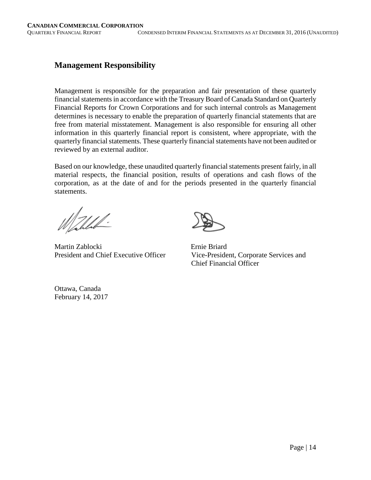# **Management Responsibility**

Management is responsible for the preparation and fair presentation of these quarterly financial statements in accordance with the Treasury Board of Canada Standard on Quarterly Financial Reports for Crown Corporations and for such internal controls as Management determines is necessary to enable the preparation of quarterly financial statements that are free from material misstatement. Management is also responsible for ensuring all other information in this quarterly financial report is consistent, where appropriate, with the quarterly financial statements. These quarterly financial statements have not been audited or reviewed by an external auditor.

Based on our knowledge, these unaudited quarterly financial statements present fairly, in all material respects, the financial position, results of operations and cash flows of the corporation, as at the date of and for the periods presented in the quarterly financial statements.

 $\mathbb{Z}/\mathbb{Z}$ 

Martin Zablocki Ernie Briard



President and Chief Executive Officer Vice-President, Corporate Services and Chief Financial Officer

Ottawa, Canada February 14, 2017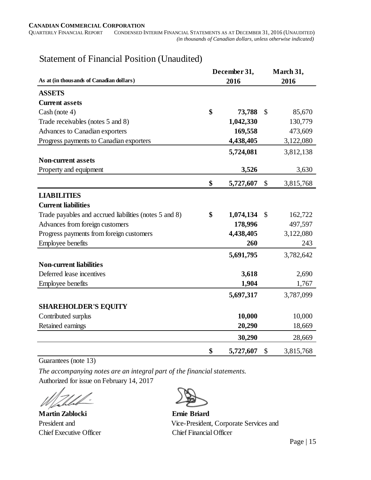| As at (in thousands of Canadian dollars)               | December 31,<br>2016 | March 31,<br>2016 |           |  |
|--------------------------------------------------------|----------------------|-------------------|-----------|--|
| <b>ASSETS</b>                                          |                      |                   |           |  |
| <b>Current assets</b>                                  |                      |                   |           |  |
| Cash (note 4)                                          | \$<br>73,788         | $\mathcal{S}$     | 85,670    |  |
| Trade receivables (notes 5 and 8)                      | 1,042,330            |                   | 130,779   |  |
| Advances to Canadian exporters                         | 169,558              |                   | 473,609   |  |
| Progress payments to Canadian exporters                | 4,438,405            |                   | 3,122,080 |  |
|                                                        | 5,724,081            |                   | 3,812,138 |  |
| <b>Non-current assets</b>                              |                      |                   |           |  |
| Property and equipment                                 | 3,526                |                   | 3,630     |  |
|                                                        | \$<br>5,727,607      | \$                | 3,815,768 |  |
| <b>LIABILITIES</b>                                     |                      |                   |           |  |
| <b>Current liabilities</b>                             |                      |                   |           |  |
| Trade payables and accrued liabilities (notes 5 and 8) | \$<br>1,074,134      | $\mathcal{S}$     | 162,722   |  |
| Advances from foreign customers                        | 178,996              |                   | 497,597   |  |
| Progress payments from foreign customers               | 4,438,405            |                   | 3,122,080 |  |
| <b>Employee benefits</b>                               | 260                  |                   | 243       |  |
|                                                        | 5,691,795            |                   | 3,782,642 |  |
| <b>Non-current liabilities</b>                         |                      |                   |           |  |
| Deferred lease incentives                              | 3,618                |                   | 2,690     |  |
| <b>Employee benefits</b>                               | 1,904                |                   | 1,767     |  |
|                                                        | 5,697,317            |                   | 3,787,099 |  |
| <b>SHAREHOLDER'S EQUITY</b>                            |                      |                   |           |  |
| Contributed surplus                                    | 10,000               |                   | 10,000    |  |
| Retained earnings                                      | 20,290               |                   | 18,669    |  |
|                                                        | 30,290               |                   | 28,669    |  |
|                                                        | \$<br>5,727,607      | \$                | 3,815,768 |  |

# Statement of Financial Position (Unaudited)

Guarantees (note 13)

*The accompanying notes are an integral part of the financial statements.* Authorized for issue on February 14, 2017

**Martin Zablocki Ernie Briard**  Chief Executive Officer Chief Financial Officer



President and Vice-President, Corporate Services and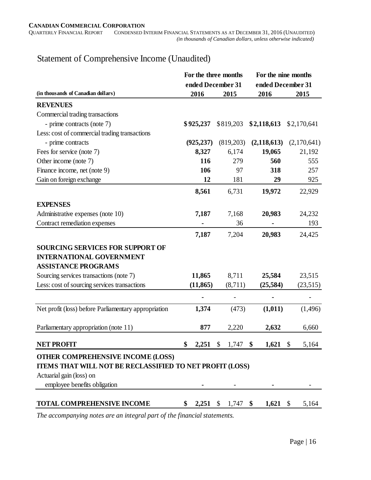# Statement of Comprehensive Income (Unaudited)

|                                                          |                  | For the three months               | For the nine months |             |
|----------------------------------------------------------|------------------|------------------------------------|---------------------|-------------|
|                                                          |                  | ended December 31                  | ended December 31   |             |
| (in thousands of Canadian dollars)                       | 2016             | 2015                               | 2016                | 2015        |
| <b>REVENUES</b>                                          |                  |                                    |                     |             |
| Commercial trading transactions                          |                  |                                    |                     |             |
| - prime contracts (note 7)                               | \$925,237        | \$819,203                          | \$2,118,613         | \$2,170,641 |
| Less: cost of commercial trading transactions            |                  |                                    |                     |             |
| - prime contracts                                        | (925, 237)       | (819,203)                          | (2,118,613)         | (2,170,641) |
| Fees for service (note 7)                                | 8,327            | 6,174                              | 19,065              | 21,192      |
| Other income (note 7)                                    | 116              | 279                                | 560                 | 555         |
| Finance income, net (note 9)                             | 106              | 97                                 | 318                 | 257         |
| Gain on foreign exchange                                 | 12               | 181                                | 29                  | 925         |
|                                                          | 8,561            | 6,731                              | 19,972              | 22,929      |
| <b>EXPENSES</b>                                          |                  |                                    |                     |             |
| Administrative expenses (note 10)                        | 7,187            | 7,168                              | 20,983              | 24,232      |
| Contract remediation expenses                            |                  | 36                                 |                     | 193         |
|                                                          | 7,187            | 7,204                              | 20,983              | 24,425      |
| <b>SOURCING SERVICES FOR SUPPORT OF</b>                  |                  |                                    |                     |             |
| <b>INTERNATIONAL GOVERNMENT</b>                          |                  |                                    |                     |             |
| <b>ASSISTANCE PROGRAMS</b>                               |                  |                                    |                     |             |
| Sourcing services transactions (note 7)                  | 11,865           | 8,711                              | 25,584              | 23,515      |
| Less: cost of sourcing services transactions             | (11, 865)        | (8,711)                            | (25, 584)           | (23,515)    |
|                                                          |                  |                                    |                     |             |
| Net profit (loss) before Parliamentary appropriation     | 1,374            | (473)                              | (1,011)             | (1,496)     |
| Parliamentary appropriation (note 11)                    | 877              | 2,220                              | 2,632               | 6,660       |
|                                                          |                  |                                    |                     |             |
| <b>NET PROFIT</b>                                        | 2,251            | 1,747<br>$\boldsymbol{\mathsf{S}}$ | 1,621<br>\$         | \$<br>5,164 |
| OTHER COMPREHENSIVE INCOME (LOSS)                        |                  |                                    |                     |             |
| ITEMS THAT WILL NOT BE RECLASSIFIED TO NET PROFIT (LOSS) |                  |                                    |                     |             |
| Actuarial gain (loss) on                                 |                  |                                    |                     |             |
| employee benefits obligation                             |                  |                                    |                     |             |
| <b>TOTAL COMPREHENSIVE INCOME</b>                        | $2,251$ \$<br>\$ | 1,747                              | $1,621$ \$<br>- \$  | 5,164       |

*The accompanying notes are an integral part of the financial statements.*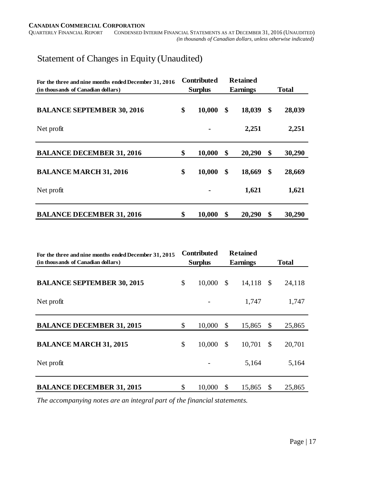**CANADIAN COMMERCIAL CORPORATION**<br>QUARTERLY FINANCIAL REPORT CONDENSED IN CONDENSED INTERIM FINANCIAL STATEMENTS AS AT DECEMBER 31, 2016 (UNAUDITED)  *(in thousands of Canadian dollars, unless otherwise indicated)*

# Statement of Changes in Equity (Unaudited)

| For the three and nine months ended December 31, 2016<br>(in thousands of Canadian dollars) | <b>Contributed</b><br><b>Surplus</b> | <b>Retained</b><br><b>Earnings</b> | <b>Total</b> |
|---------------------------------------------------------------------------------------------|--------------------------------------|------------------------------------|--------------|
|                                                                                             |                                      |                                    |              |
| <b>BALANCE SEPTEMBER 30, 2016</b>                                                           | \$<br>10,000                         | \$<br>18,039                       | \$<br>28,039 |
| Net profit                                                                                  |                                      | 2,251                              | 2,251        |
| <b>BALANCE DECEMBER 31, 2016</b>                                                            | \$<br>10,000                         | \$<br>20,290                       | \$<br>30,290 |
| <b>BALANCE MARCH 31, 2016</b>                                                               | \$<br>10,000                         | \$<br>18,669                       | \$<br>28,669 |
| Net profit                                                                                  |                                      | 1,621                              | 1,621        |
| <b>BALANCE DECEMBER 31, 2016</b>                                                            | \$<br>10,000                         | \$<br>20,290                       | \$<br>30,290 |

| For the three and nine months ended December 31, 2015 | <b>Contributed</b> |               | <b>Retained</b> |               |              |
|-------------------------------------------------------|--------------------|---------------|-----------------|---------------|--------------|
| (in thousands of Canadian dollars)                    | <b>Surplus</b>     |               | <b>Earnings</b> |               | <b>Total</b> |
| <b>BALANCE SEPTEMBER 30, 2015</b>                     | \$<br>10,000       | \$            | 14,118          | $\mathbb{S}$  | 24,118       |
| Net profit                                            |                    |               | 1,747           |               | 1,747        |
| <b>BALANCE DECEMBER 31, 2015</b>                      | \$<br>10,000       | \$            | 15,865          | \$            | 25,865       |
| <b>BALANCE MARCH 31, 2015</b>                         | \$<br>10,000       | $\mathcal{S}$ | 10,701          | $\mathcal{S}$ | 20,701       |
| Net profit                                            |                    |               | 5,164           |               | 5,164        |
| <b>BALANCE DECEMBER 31, 2015</b>                      | \$<br>10,000       | \$            | 15,865          | \$            | 25,865       |

*The accompanying notes are an integral part of the financial statements.*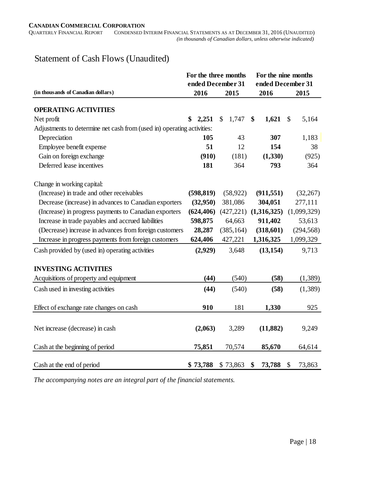**CANADIAN COMMERCIAL CORPORATION**<br>QUARTERLY FINANCIAL REPORT CONDENSED IN CONDENSED INTERIM FINANCIAL STATEMENTS AS AT DECEMBER 31, 2016 (UNAUDITED)  *(in thousands of Canadian dollars, unless otherwise indicated)*

# Statement of Cash Flows (Unaudited)

|                                                                        | For the three months |                        | For the nine months |                        |
|------------------------------------------------------------------------|----------------------|------------------------|---------------------|------------------------|
|                                                                        | ended December 31    |                        | ended December 31   |                        |
| (in thousands of Canadian dollars)                                     | 2016                 | 2015                   | 2016                | 2015                   |
| <b>OPERATING ACTIVITIES</b>                                            |                      |                        |                     |                        |
| Net profit                                                             | \$<br>2,251          | $\mathcal{S}$<br>1,747 | \$<br>1,621         | $\mathcal{S}$<br>5,164 |
| Adjustments to determine net cash from (used in) operating activities: |                      |                        |                     |                        |
| Depreciation                                                           | 105                  | 43                     | 307                 | 1,183                  |
| Employee benefit expense                                               | 51                   | 12                     | 154                 | 38                     |
| Gain on foreign exchange                                               | (910)                | (181)                  | (1, 330)            | (925)                  |
| Deferred lease incentives                                              | 181                  | 364                    | 793                 | 364                    |
| Change in working capital:                                             |                      |                        |                     |                        |
| (Increase) in trade and other receivables                              | (598, 819)           | (58, 922)              | (911, 551)          | (32, 267)              |
| Decrease (increase) in advances to Canadian exporters                  | (32,950)             | 381,086                | 304,051             | 277,111                |
| (Increase) in progress payments to Canadian exporters                  | (624, 406)           | (427, 221)             | (1,316,325)         | (1,099,329)            |
| Increase in trade payables and accrued liabilities                     | 598,875              | 64,663                 | 911,402             | 53,613                 |
| (Decrease) increase in advances from foreign customers                 | 28,287               | (385, 164)             | (318,601)           | (294, 568)             |
| Increase in progress payments from foreign customers                   | 624,406              | 427,221                | 1,316,325           | 1,099,329              |
| Cash provided by (used in) operating activities                        | (2,929)              | 3,648                  | (13, 154)           | 9,713                  |
| <b>INVESTING ACTIVITIES</b>                                            |                      |                        |                     |                        |
| Acquisitions of property and equipment                                 | (44)                 | (540)                  | (58)                | (1,389)                |
| Cash used in investing activities                                      | (44)                 | (540)                  | (58)                | (1,389)                |
| Effect of exchange rate changes on cash                                | 910                  | 181                    | 1,330               | 925                    |
|                                                                        |                      |                        |                     |                        |
| Net increase (decrease) in cash                                        | (2,063)              | 3,289                  | (11, 882)           | 9,249                  |
| Cash at the beginning of period                                        | 75,851               | 70,574                 | 85,670              | 64,614                 |
| Cash at the end of period                                              | \$73,788             | \$73,863               | 73,788<br>\$        | \$<br>73,863           |

*The accompanying notes are an integral part of the financial statements.*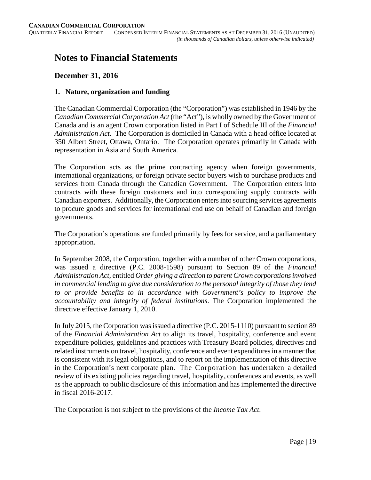# **Notes to Financial Statements**

# **December 31, 2016**

#### **1. Nature, organization and funding**

The Canadian Commercial Corporation (the "Corporation") was established in 1946 by the *Canadian Commercial Corporation Act* (the "Act"), is wholly owned by the Government of Canada and is an agent Crown corporation listed in Part I of Schedule III of the *Financial Administration Act*. The Corporation is domiciled in Canada with a head office located at 350 Albert Street, Ottawa, Ontario. The Corporation operates primarily in Canada with representation in Asia and South America.

The Corporation acts as the prime contracting agency when foreign governments, international organizations, or foreign private sector buyers wish to purchase products and services from Canada through the Canadian Government. The Corporation enters into contracts with these foreign customers and into corresponding supply contracts with Canadian exporters. Additionally, the Corporation enters into sourcing services agreements to procure goods and services for international end use on behalf of Canadian and foreign governments.

The Corporation's operations are funded primarily by fees for service, and a parliamentary appropriation.

In September 2008, the Corporation, together with a number of other Crown corporations, was issued a directive (P.C. 2008-1598) pursuant to Section 89 of the *Financial Administration Act*, entitled *Order giving a direction to parent Crown corporations involved in commercial lending to give due consideration to the personal integrity of those they lend to or provide benefits to in accordance with Government's policy to improve the accountability and integrity of federal institutions*. The Corporation implemented the directive effective January 1, 2010.

In July 2015, the Corporation was issued a directive (P.C. 2015-1110) pursuant to section 89 of the *Financial Administration Act* to align its travel, hospitality, conference and event expenditure policies, guidelines and practices with Treasury Board policies, directives and related instruments on travel, hospitality, conference and event expenditures in a manner that is consistent with its legal obligations, and to report on the implementation of this directive in the Corporation's next corporate plan. The Corporation has undertaken a detailed review of its existing policies regarding travel, hospitality, conferences and events, as well as the approach to public disclosure of this information and has implemented the directive in fiscal 2016-2017.

The Corporation is not subject to the provisions of the *Income Tax Act*.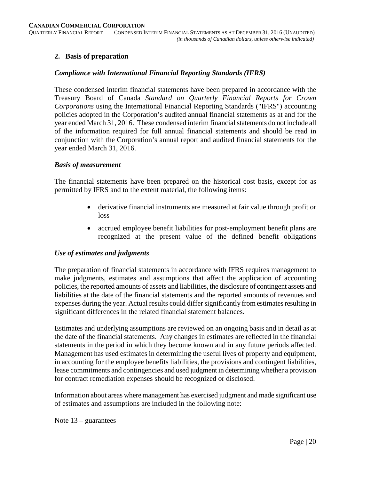#### **2. Basis of preparation**

#### *Compliance with International Financial Reporting Standards (IFRS)*

These condensed interim financial statements have been prepared in accordance with the Treasury Board of Canada *Standard on Quarterly Financial Reports for Crown Corporations* using the International Financial Reporting Standards ("IFRS") accounting policies adopted in the Corporation's audited annual financial statements as at and for the year ended March 31, 2016. These condensed interim financial statements do not include all of the information required for full annual financial statements and should be read in conjunction with the Corporation's annual report and audited financial statements for the year ended March 31, 2016.

#### *Basis of measurement*

The financial statements have been prepared on the historical cost basis, except for as permitted by IFRS and to the extent material, the following items:

- derivative financial instruments are measured at fair value through profit or loss
- accrued employee benefit liabilities for post-employment benefit plans are recognized at the present value of the defined benefit obligations

#### *Use of estimates and judgments*

The preparation of financial statements in accordance with IFRS requires management to make judgments, estimates and assumptions that affect the application of accounting policies, the reported amounts of assets and liabilities, the disclosure of contingent assets and liabilities at the date of the financial statements and the reported amounts of revenues and expenses during the year. Actual results could differ significantly from estimates resulting in significant differences in the related financial statement balances.

Estimates and underlying assumptions are reviewed on an ongoing basis and in detail as at the date of the financial statements. Any changes in estimates are reflected in the financial statements in the period in which they become known and in any future periods affected. Management has used estimates in determining the useful lives of property and equipment, in accounting for the employee benefits liabilities, the provisions and contingent liabilities, lease commitments and contingencies and used judgment in determining whether a provision for contract remediation expenses should be recognized or disclosed.

Information about areas where management has exercised judgment and made significant use of estimates and assumptions are included in the following note:

Note 13 – guarantees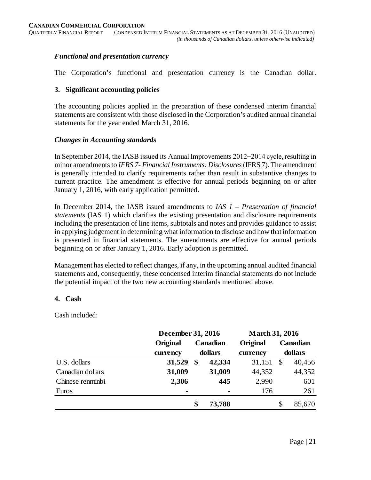# *Functional and presentation currency*

The Corporation's functional and presentation currency is the Canadian dollar.

#### **3. Significant accounting policies**

The accounting policies applied in the preparation of these condensed interim financial statements are consistent with those disclosed in the Corporation's audited annual financial statements for the year ended March 31, 2016.

#### *Changes in Accounting standards*

In September 2014, the IASB issued its Annual Improvements 2012−2014 cycle, resulting in minor amendments to *IFRS 7- Financial Instruments: Disclosures*(IFRS 7). The amendment is generally intended to clarify requirements rather than result in substantive changes to current practice. The amendment is effective for annual periods beginning on or after January 1, 2016, with early application permitted.

In December 2014, the IASB issued amendments to *IAS 1 – Presentation of financial statements* (IAS 1) which clarifies the existing presentation and disclosure requirements including the presentation of line items, subtotals and notes and provides guidance to assist in applying judgement in determining what information to disclose and how that information is presented in financial statements. The amendments are effective for annual periods beginning on or after January 1, 2016. Early adoption is permitted.

Management has elected to reflect changes, if any, in the upcoming annual audited financial statements and, consequently, these condensed interim financial statements do not include the potential impact of the two new accounting standards mentioned above.

# **4. Cash**

Cash included:

|                  |          | December 31, 2016                                                                                                       |        |                 | <b>March 31, 2016</b> |          |  |  |
|------------------|----------|-------------------------------------------------------------------------------------------------------------------------|--------|-----------------|-----------------------|----------|--|--|
|                  | Original |                                                                                                                         |        | <b>Original</b> |                       | Canadian |  |  |
|                  | currency | Canadian<br>dollars<br>currency<br>31,529<br>\$<br>42,334<br>31,009<br>31,009<br>44,352<br>2,306<br>445<br>2,990<br>176 |        | dollars         |                       |          |  |  |
| U.S. dollars     |          |                                                                                                                         |        | 31,151          | S                     | 40,456   |  |  |
| Canadian dollars |          |                                                                                                                         |        |                 |                       | 44,352   |  |  |
| Chinese renminbi |          |                                                                                                                         |        |                 |                       | 601      |  |  |
| Euros            |          |                                                                                                                         |        |                 |                       | 261      |  |  |
|                  |          | \$                                                                                                                      | 73,788 |                 | \$                    | 85,670   |  |  |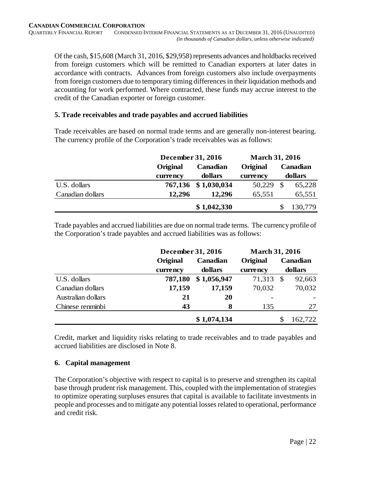Of the cash, \$15,608 (March 31, 2016, \$29,958) represents advances and holdbacks received from foreign customers which will be remitted to Canadian exporters at later dates in accordance with contracts. Advances from foreign customers also include overpayments from foreign customers due to temporary timing differences in their liquidation methods and accounting for work performed. Where contracted, these funds may accrue interest to the credit of the Canadian exporter or foreign customer.

# **5. Trade receivables and trade payables and accrued liabilities**

Trade receivables are based on normal trade terms and are generally non-interest bearing. The currency profile of the Corporation's trade receivables was as follows:

|                  | December 31, 2016 |             | <b>March 31, 2016</b> |               |          |  |
|------------------|-------------------|-------------|-----------------------|---------------|----------|--|
|                  | Original          | Canadian    | Original              |               | Canadian |  |
|                  | currency          | dollars     | currency              | dollars       |          |  |
| U.S. dollars     | 767,136           | \$1,030,034 | 50,229                | <sup>\$</sup> | 65,228   |  |
| Canadian dollars | 12,296            | 12,296      | 65,551                |               | 65,551   |  |
|                  |                   | \$1,042,330 |                       |               | 130,779  |  |

Trade payables and accrued liabilities are due on normal trade terms. The currency profile of the Corporation's trade payables and accrued liabilities was as follows:

|                    | December 31, 2016 |             | <b>March 31, 2016</b> |              |
|--------------------|-------------------|-------------|-----------------------|--------------|
|                    | Original          | Canadian    | Original              | Canadian     |
|                    | currency          | dollars     | currency              | dollars      |
| U.S. dollars       | 787,180           | \$1,056,947 | 71,313                | 92,663<br>\$ |
| Canadian dollars   | 17,159            | 17,159      | 70,032                | 70,032       |
| Australian dollars | 21                | 20          |                       |              |
| Chinese renminbi   | 43                | 8<br>135    |                       | 27           |
|                    |                   | \$1,074,134 |                       | 162,722      |

Credit, market and liquidity risks relating to trade receivables and to trade payables and accrued liabilities are disclosed in Note 8.

# **6. Capital management**

The Corporation's objective with respect to capital is to preserve and strengthen its capital base through prudent risk management. This, coupled with the implementation of strategies to optimize operating surpluses ensures that capital is available to facilitate investments in people and processes and to mitigate any potential losses related to operational, performance and credit risk.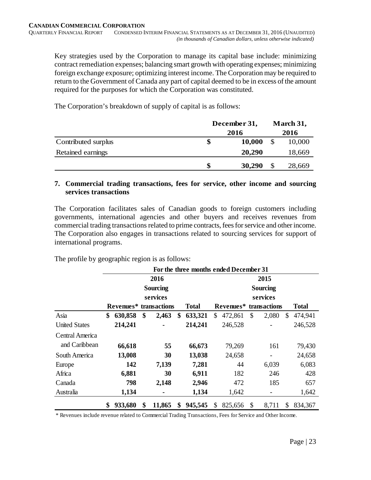Key strategies used by the Corporation to manage its capital base include: minimizing contract remediation expenses; balancing smart growth with operating expenses; minimizing foreign exchange exposure; optimizing interest income. The Corporation may be required to return to the Government of Canada any part of capital deemed to be in excess of the amount required for the purposes for which the Corporation was constituted.

The Corporation's breakdown of supply of capital is as follows:

|                     |    | December 31, |  | March 31, |
|---------------------|----|--------------|--|-----------|
|                     |    | 2016         |  | 2016      |
| Contributed surplus | \$ | 10,000       |  | 10,000    |
| Retained earnings   |    | 20,290       |  | 18,669    |
|                     | S  | 30,290       |  | 28,669    |

# **7. Commercial trading transactions, fees for service, other income and sourcing services transactions**

The Corporation facilitates sales of Canadian goods to foreign customers including governments, international agencies and other buyers and receives revenues from commercial trading transactions related to prime contracts, fees for service and other income. The Corporation also engages in transactions related to sourcing services for support of international programs.

The profile by geographic region is as follows:

|                      |                                    |      |        |    | For the three months ended December 31 |    |                        |    |                 |    |              |
|----------------------|------------------------------------|------|--------|----|----------------------------------------|----|------------------------|----|-----------------|----|--------------|
|                      |                                    | 2016 |        |    | 2015                                   |    |                        |    |                 |    |              |
|                      | <b>Sourcing</b>                    |      |        |    |                                        |    |                        |    | <b>Sourcing</b> |    |              |
|                      | services                           |      |        |    |                                        |    |                        |    | services        |    |              |
|                      | Revenues <sup>*</sup> transactions |      |        |    | <b>Total</b>                           |    | Revenues* transactions |    |                 |    | <b>Total</b> |
| Asia                 | \$<br>630,858                      | \$   | 2,463  | \$ | 633,321                                | \$ | 472,861                | \$ | 2,080           | \$ | 474,941      |
| <b>United States</b> | 214,241                            |      |        |    | 214,241                                |    | 246,528                |    |                 |    | 246,528      |
| Central America      |                                    |      |        |    |                                        |    |                        |    |                 |    |              |
| and Caribbean        | 66,618                             |      | 55     |    | 66,673                                 |    | 79,269                 |    | 161             |    | 79,430       |
| South America        | 13,008                             |      | 30     |    | 13,038                                 |    | 24,658                 |    |                 |    | 24,658       |
| Europe               | 142                                |      | 7,139  |    | 7,281                                  |    | 44                     |    | 6,039           |    | 6,083        |
| Africa               | 6,881                              |      | 30     |    | 6,911                                  |    | 182                    |    | 246             |    | 428          |
| Canada               | 798                                |      | 2,148  |    | 2,946                                  |    | 472                    |    | 185             |    | 657          |
| Australia            | 1,134                              |      | ٠      |    | 1,134                                  |    | 1,642                  |    |                 |    | 1,642        |
|                      | \$<br>933,680                      | \$   | 11,865 | \$ | 945,545                                | \$ | 825,656                | \$ | 8,711           | \$ | 834,367      |

\* Revenues include revenue related to Commercial Trading Transactions, Fees for Service and Other Income.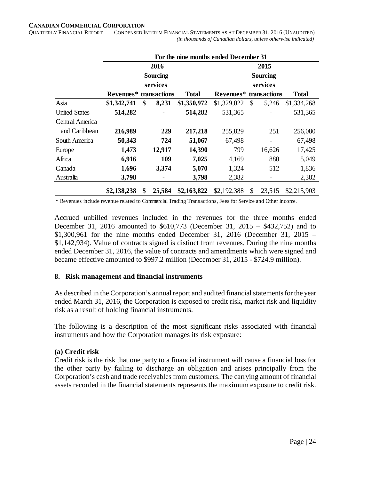#### **CANADIAN COMMERCIAL CORPORATION**

QUARTERLY FINANCIAL REPORT CONDENSED INTERIM FINANCIAL STATEMENTS AS AT DECEMBER 31, 2016 (UNAUDITED)  *(in thousands of Canadian dollars, unless otherwise indicated)*

|                      | For the nine months ended December 31 |    |                 |              |                        |               |                              |              |  |  |
|----------------------|---------------------------------------|----|-----------------|--------------|------------------------|---------------|------------------------------|--------------|--|--|
|                      | 2016                                  |    |                 |              | 2015                   |               |                              |              |  |  |
|                      |                                       |    | <b>Sourcing</b> |              |                        |               | <b>Sourcing</b>              |              |  |  |
|                      |                                       |    | services        |              |                        |               | services                     |              |  |  |
|                      | Revenues* transactions                |    |                 | <b>Total</b> | Revenues* transactions |               |                              | <b>Total</b> |  |  |
| Asia                 | \$1,342,741                           | \$ | 8,231           | \$1,350,972  | \$1,329,022            | $\mathcal{S}$ | 5,246                        | \$1,334,268  |  |  |
| <b>United States</b> | 514,282                               |    |                 | 514,282      | 531,365                |               |                              | 531,365      |  |  |
| Central America      |                                       |    |                 |              |                        |               |                              |              |  |  |
| and Caribbean        | 216,989                               |    | 229             | 217,218      | 255,829                |               | 251                          | 256,080      |  |  |
| South America        | 50,343                                |    | 724             | 51,067       | 67,498                 |               | $\qquad \qquad \blacksquare$ | 67,498       |  |  |
| Europe               | 1,473                                 |    | 12,917          | 14,390       | 799                    |               | 16,626                       | 17,425       |  |  |
| Africa               | 6,916                                 |    | 109             | 7,025        | 4,169                  |               | 880                          | 5,049        |  |  |
| Canada               | 1,696                                 |    | 3,374           | 5,070        | 1,324                  |               | 512                          | 1,836        |  |  |
| Australia            | 3,798                                 |    |                 | 3,798        | 2,382                  |               |                              | 2,382        |  |  |
|                      | \$2,138,238                           | \$ | 25,584          | \$2,163,822  | \$2,192,388            | \$            | 23,515                       | \$2,215,903  |  |  |

\* Revenues include revenue related to Commercial Trading Transactions, Fees for Service and Other Income.

Accrued unbilled revenues included in the revenues for the three months ended December 31, 2016 amounted to \$610,773 (December 31, 2015 – \$432,752) and to \$1,300,961 for the nine months ended December 31, 2016 (December 31, 2015 – \$1,142,934). Value of contracts signed is distinct from revenues. During the nine months ended December 31, 2016, the value of contracts and amendments which were signed and became effective amounted to \$997.2 million (December 31, 2015 - \$724.9 million).

#### **8. Risk management and financial instruments**

As described in the Corporation's annual report and audited financial statements for the year ended March 31, 2016, the Corporation is exposed to credit risk, market risk and liquidity risk as a result of holding financial instruments.

The following is a description of the most significant risks associated with financial instruments and how the Corporation manages its risk exposure:

#### **(a) Credit risk**

Credit risk is the risk that one party to a financial instrument will cause a financial loss for the other party by failing to discharge an obligation and arises principally from the Corporation's cash and trade receivables from customers. The carrying amount of financial assets recorded in the financial statements represents the maximum exposure to credit risk.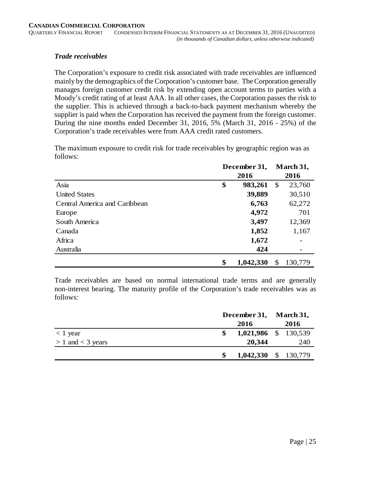#### *Trade receivables*

The Corporation's exposure to credit risk associated with trade receivables are influenced mainly by the demographics of the Corporation's customer base. The Corporation generally manages foreign customer credit risk by extending open account terms to parties with a Moody's credit rating of at least AAA. In all other cases, the Corporation passes the risk to the supplier. This is achieved through a back-to-back payment mechanism whereby the supplier is paid when the Corporation has received the payment from the foreign customer. During the nine months ended December 31, 2016, 5% (March 31, 2016 - 25%) of the Corporation's trade receivables were from AAA credit rated customers.

The maximum exposure to credit risk for trade receivables by geographic region was as follows:

|                               | December 31, |           |    | March 31, |
|-------------------------------|--------------|-----------|----|-----------|
|                               | 2016         |           |    | 2016      |
| Asia                          | \$           | 983,261   | \$ | 23,760    |
| <b>United States</b>          |              | 39,889    |    | 30,510    |
| Central America and Caribbean |              | 6,763     |    | 62,272    |
| Europe                        |              | 4,972     |    | 701       |
| South America                 |              | 3,497     |    | 12,369    |
| Canada                        |              | 1,852     |    | 1,167     |
| Africa                        |              | 1,672     |    |           |
| Australia                     |              | 424       |    |           |
|                               | \$           | 1,042,330 | \$ | 130,779   |

Trade receivables are based on normal international trade terms and are generally non-interest bearing. The maturity profile of the Corporation's trade receivables was as follows:

|                       | December 31, March 31, |                      |      |
|-----------------------|------------------------|----------------------|------|
|                       |                        | 2016                 | 2016 |
| $<$ 1 year            | \$                     | 1,021,986 \$ 130,539 |      |
| $> 1$ and $<$ 3 years |                        | 20,344               | 240  |
|                       | S                      | 1,042,330 \$ 130,779 |      |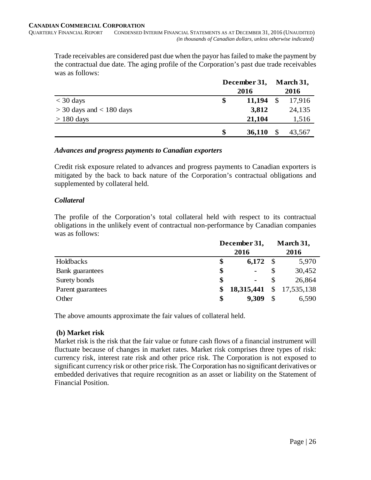Trade receivables are considered past due when the payor has failed to make the payment by the contractual due date. The aging profile of the Corporation's past due trade receivables was as follows:

|                              | December 31, |               | March 31, |
|------------------------------|--------------|---------------|-----------|
|                              | 2016         |               | 2016      |
| $<$ 30 days                  | 11,194<br>\$ | <sup>\$</sup> | 17,916    |
| $>$ 30 days and $<$ 180 days | 3,812        |               | 24,135    |
| $> 180$ days                 | 21,104       |               | 1,516     |
|                              | \$<br>36,110 |               | 43,567    |

#### *Advances and progress payments to Canadian exporters*

Credit risk exposure related to advances and progress payments to Canadian exporters is mitigated by the back to back nature of the Corporation's contractual obligations and supplemented by collateral held.

# *Collateral*

The profile of the Corporation's total collateral held with respect to its contractual obligations in the unlikely event of contractual non-performance by Canadian companies was as follows:

|                        | December 31, |                |      | March 31,    |
|------------------------|--------------|----------------|------|--------------|
|                        |              | 2016           |      | 2016         |
| Holdbacks              | \$           | 6,172          | - \$ | 5,970        |
| <b>Bank</b> guarantees | \$           | $\blacksquare$ |      | 30,452       |
| Surety bonds           | \$           | $\blacksquare$ |      | 26,864       |
| Parent guarantees      | \$           | 18,315,441     |      | \$17,535,138 |
| Other                  | \$           | 9,309          | S    | 6,590        |

The above amounts approximate the fair values of collateral held.

# **(b) Market risk**

Market risk is the risk that the fair value or future cash flows of a financial instrument will fluctuate because of changes in market rates. Market risk comprises three types of risk: currency risk, interest rate risk and other price risk. The Corporation is not exposed to significant currency risk or other price risk. The Corporation has no significant derivatives or embedded derivatives that require recognition as an asset or liability on the Statement of Financial Position.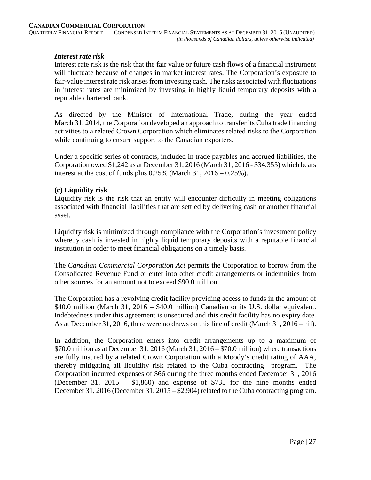#### *Interest rate risk*

Interest rate risk is the risk that the fair value or future cash flows of a financial instrument will fluctuate because of changes in market interest rates. The Corporation's exposure to fair-value interest rate risk arises from investing cash. The risks associated with fluctuations in interest rates are minimized by investing in highly liquid temporary deposits with a reputable chartered bank.

As directed by the Minister of International Trade, during the year ended March 31, 2014, the Corporation developed an approach to transfer its Cuba trade financing activities to a related Crown Corporation which eliminates related risks to the Corporation while continuing to ensure support to the Canadian exporters.

Under a specific series of contracts, included in trade payables and accrued liabilities, the Corporation owed \$1,242 as at December 31, 2016 (March 31, 2016 - \$34,355) which bears interest at the cost of funds plus  $0.25\%$  (March 31,  $2016 - 0.25\%$ ).

#### **(c) Liquidity risk**

Liquidity risk is the risk that an entity will encounter difficulty in meeting obligations associated with financial liabilities that are settled by delivering cash or another financial asset.

Liquidity risk is minimized through compliance with the Corporation's investment policy whereby cash is invested in highly liquid temporary deposits with a reputable financial institution in order to meet financial obligations on a timely basis.

The *Canadian Commercial Corporation Act* permits the Corporation to borrow from the Consolidated Revenue Fund or enter into other credit arrangements or indemnities from other sources for an amount not to exceed \$90.0 million.

The Corporation has a revolving credit facility providing access to funds in the amount of \$40.0 million (March 31, 2016 – \$40.0 million) Canadian or its U.S. dollar equivalent. Indebtedness under this agreement is unsecured and this credit facility has no expiry date. As at December 31, 2016, there were no draws on this line of credit (March 31, 2016 – nil).

In addition, the Corporation enters into credit arrangements up to a maximum of \$70.0 million as at December 31, 2016 (March 31, 2016 – \$70.0 million) where transactions are fully insured by a related Crown Corporation with a Moody's credit rating of AAA, thereby mitigating all liquidity risk related to the Cuba contracting program. The Corporation incurred expenses of \$66 during the three months ended December 31, 2016 (December 31, 2015 – \$1,860) and expense of \$735 for the nine months ended December 31, 2016 (December 31, 2015 – \$2,904) related to the Cuba contracting program.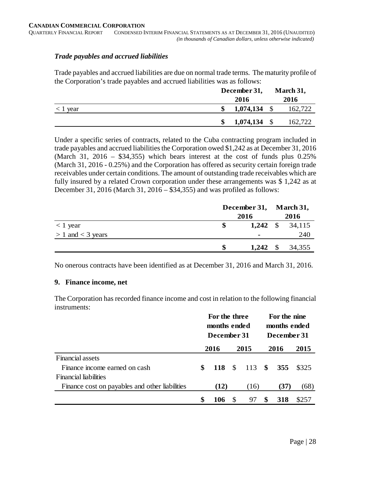# *Trade payables and accrued liabilities*

Trade payables and accrued liabilities are due on normal trade terms. The maturity profile of the Corporation's trade payables and accrued liabilities was as follows:

|                  | December 31,         | March 31, |         |  |
|------------------|----------------------|-----------|---------|--|
|                  | 2016                 |           | 2016    |  |
| $\langle$ 1 year | \$<br>1,074,134      |           | 162,722 |  |
|                  | \$<br>$1,074,134$ \$ |           | 162,722 |  |

Under a specific series of contracts, related to the Cuba contracting program included in trade payables and accrued liabilities the Corporation owed \$1,242 as at December 31, 2016 (March 31, 2016 – \$34,355) which bears interest at the cost of funds plus  $0.25\%$ (March 31, 2016 - 0.25%) and the Corporation has offered as security certain foreign trade receivables under certain conditions. The amount of outstanding trade receivables which are fully insured by a related Crown corporation under these arrangements was \$1,242 as at December 31, 2016 (March 31, 2016 – \$34,355) and was profiled as follows:

|                       |    | December 31, March 31, |                            |
|-----------------------|----|------------------------|----------------------------|
|                       |    | 2016                   | 2016                       |
| $< 1$ year            |    |                        | 1,242 $\frac{1}{2}$ 34,115 |
| $> 1$ and $<$ 3 years |    | $\blacksquare$         | 240                        |
|                       | -S |                        | 1,242 $\frac{1}{2}$ 34,355 |

No onerous contracts have been identified as at December 31, 2016 and March 31, 2016.

# **9. Finance income, net**

The Corporation has recorded finance income and cost in relation to the following financial instruments:

|                                                | For the three<br>months ended<br>December 31 |      |               |        |  | For the nine<br>months ended<br>December 31 |       |  |
|------------------------------------------------|----------------------------------------------|------|---------------|--------|--|---------------------------------------------|-------|--|
|                                                | 2016                                         |      |               | 2015   |  | 2016                                        | 2015  |  |
| Financial assets                               |                                              |      |               |        |  |                                             |       |  |
| Finance income earned on cash                  | \$                                           | 118  | $\mathcal{S}$ | 113 \$ |  | 355                                         | \$325 |  |
| <b>Financial liabilities</b>                   |                                              |      |               |        |  |                                             |       |  |
| Finance cost on payables and other liabilities |                                              | (12) |               | (16)   |  | (37)                                        | (68)  |  |
|                                                | \$                                           | 106  |               | 97     |  | 318                                         | \$257 |  |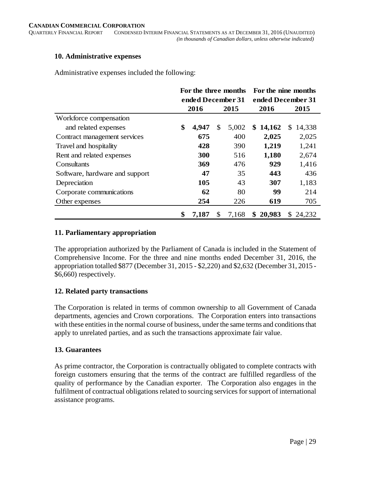#### **10. Administrative expenses**

Administrative expenses included the following:

|                                | For the three months |            | For the nine months |                   |              |              |
|--------------------------------|----------------------|------------|---------------------|-------------------|--------------|--------------|
|                                | ended December 31    |            |                     | ended December 31 |              |              |
|                                |                      | 2016       |                     | 2015              | 2016         | 2015         |
| Workforce compensation         |                      |            |                     |                   |              |              |
| and related expenses           | \$                   | 4,947      | \$                  | 5,002             | \$<br>14,162 | \$<br>14,338 |
| Contract management services   |                      | 675        |                     | 400               | 2,025        | 2,025        |
| Travel and hospitality         |                      | 428        |                     | 390               | 1,219        | 1,241        |
| Rent and related expenses      |                      | <b>300</b> |                     | 516               | 1,180        | 2,674        |
| Consultants                    |                      | 369        |                     | 476               | 929          | 1,416        |
| Software, hardware and support |                      | 47         |                     | 35                | 443          | 436          |
| Depreciation                   |                      | 105        |                     | 43                | 307          | 1,183        |
| Corporate communications       |                      | 62         |                     | 80                | 99           | 214          |
| Other expenses                 | 254                  |            |                     | 226               | 619          | 705          |
|                                | \$                   | 7,187      | \$                  | 7,168             | \$20,983     | 24,232<br>S. |

#### **11. Parliamentary appropriation**

The appropriation authorized by the Parliament of Canada is included in the Statement of Comprehensive Income. For the three and nine months ended December 31, 2016, the appropriation totalled \$877 (December 31, 2015 - \$2,220) and \$2,632 (December 31, 2015 - \$6,660) respectively.

# **12. Related party transactions**

The Corporation is related in terms of common ownership to all Government of Canada departments, agencies and Crown corporations. The Corporation enters into transactions with these entities in the normal course of business, under the same terms and conditions that apply to unrelated parties, and as such the transactions approximate fair value.

# **13. Guarantees**

As prime contractor, the Corporation is contractually obligated to complete contracts with foreign customers ensuring that the terms of the contract are fulfilled regardless of the quality of performance by the Canadian exporter. The Corporation also engages in the fulfilment of contractual obligations related to sourcing services for support of international assistance programs.